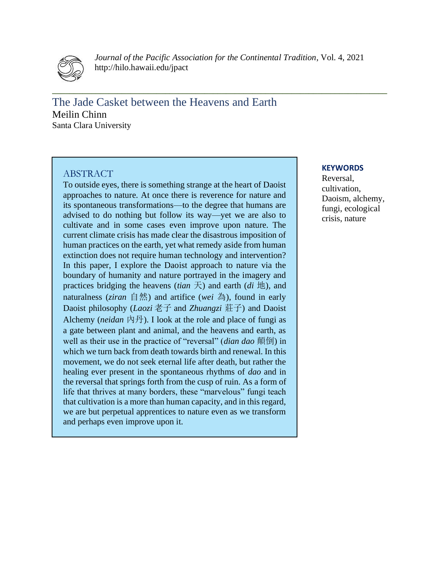

*Journal of the Pacific Association for the Continental Tradition*, Vol. 4, 2021 http://hilo.hawaii.edu/jpact

**\_\_\_\_\_\_\_\_\_\_\_\_\_\_\_\_\_\_\_\_\_\_\_\_\_\_\_\_\_\_\_\_\_\_\_\_\_\_\_\_\_\_\_\_\_\_\_\_\_\_\_\_\_\_\_\_\_\_\_\_\_\_\_\_\_\_\_\_\_\_\_\_\_\_\_\_\_**

The Jade Casket between the Heavens and Earth Meilin Chinn Santa Clara University

## ABSTRACT

To outside eyes, there is something strange at the heart of Daoist approaches to nature. At once there is reverence for nature and its spontaneous transformations—to the degree that humans are advised to do nothing but follow its way—yet we are also to cultivate and in some cases even improve upon nature. The current climate crisis has made clear the disastrous imposition of human practices on the earth, yet what remedy aside from human extinction does not require human technology and intervention? In this paper, I explore the Daoist approach to nature via the boundary of humanity and nature portrayed in the imagery and practices bridging the heavens *(tian* 天) and earth *(di* 地), and naturalness (*ziran* 自然) and artifice (*wei* 為), found in early Daoist philosophy (*Laozi* 老子 and *Zhuangzi* 莊子) and Daoist Alchemy (*neidan*  $\not\uparrow$   $\not\uparrow$ ). I look at the role and place of fungi as a gate between plant and animal, and the heavens and earth, as well as their use in the practice of "reversal" (*dian dao* 顛倒) in which we turn back from death towards birth and renewal. In this movement, we do not seek eternal life after death, but rather the healing ever present in the spontaneous rhythms of *dao* and in the reversal that springs forth from the cusp of ruin. As a form of life that thrives at many borders, these "marvelous" fungi teach that cultivation is a more than human capacity, and in this regard, we are but perpetual apprentices to nature even as we transform and perhaps even improve upon it.

#### **KEYWORDS**

Reversal, cultivation, Daoism, alchemy, fungi, ecological crisis, nature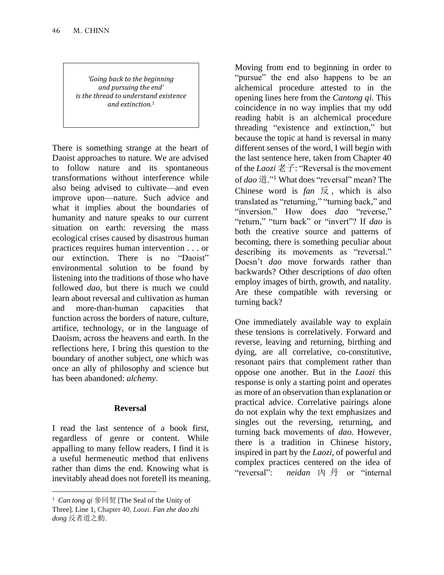*'Going back to the beginning and pursuing the end' is the thread to understand existence and extinction.*1

There is something strange at the heart of Daoist approaches to nature. We are advised to follow nature and its spontaneous transformations without interference while also being advised to cultivate—and even improve upon—nature. Such advice and what it implies about the boundaries of humanity and nature speaks to our current situation on earth: reversing the mass ecological crises caused by disastrous human practices requires human intervention . . . or our extinction. There is no "Daoist" environmental solution to be found by listening into the traditions of those who have followed *dao*, but there is much we could learn about reversal and cultivation as human and more-than-human capacities that function across the borders of nature, culture, artifice, technology, or in the language of Daoism, across the heavens and earth. In the reflections here, I bring this question to the boundary of another subject, one which was once an ally of philosophy and science but has been abandoned: *alchemy*.

# **Reversal**

I read the last sentence of a book first, regardless of genre or content. While appalling to many fellow readers, I find it is a useful hermeneutic method that enlivens rather than dims the end. Knowing what is inevitably ahead does not foretell its meaning. Moving from end to beginning in order to "pursue" the end also happens to be an alchemical procedure attested to in the opening lines here from the *Cantong qi.* This coincidence in no way implies that my odd reading habit is an alchemical procedure threading "existence and extinction," but because the topic at hand is reversal in many different senses of the word, I will begin with the last sentence here, taken from Chapter 40 of the *Laozi* 老子: "Reversal is the movement of *dao* 道." <sup>1</sup> What does "reversal" mean? The Chinese word is  $fan \not\mathbb{R}$ , which is also translated as "returning," "turning back," and "inversion." How does *dao* "reverse," "return," "turn back" or "invert"? If *dao* is both the creative source and patterns of becoming, there is something peculiar about describing its movements as "reversal." Doesn't *dao* move forwards rather than backwards? Other descriptions of *dao* often employ images of birth, growth, and natality. Are these compatible with reversing or turning back?

One immediately available way to explain these tensions is correlatively. Forward and reverse, leaving and returning, birthing and dying, are all correlative, co-constitutive, resonant pairs that complement rather than oppose one another. But in the *Laozi* this response is only a starting point and operates as more of an observation than explanation or practical advice. Correlative pairings alone do not explain why the text emphasizes and singles out the reversing, returning, and turning back movements of *dao.* However, there is a tradition in Chinese history, inspired in part by the *Laozi*, of powerful and complex practices centered on the idea of "reversal": *neidan* 內 丹 or "internal

<sup>1</sup> *Can tong qi* 參同契 [The Seal of the Unity of Three]. Line 1, Chapter 40, *Laozi*. *Fan zhe dao zhi dong* 反者道之動.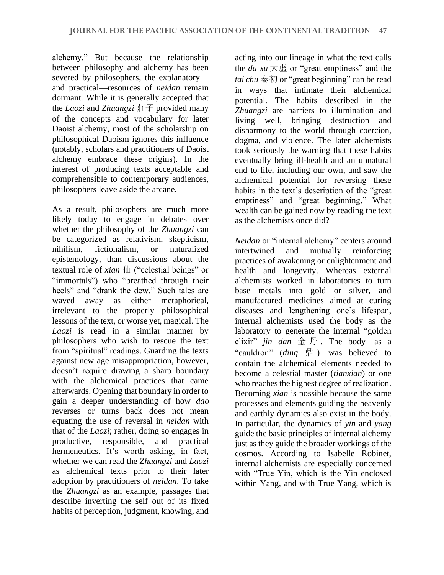alchemy." But because the relationship between philosophy and alchemy has been severed by philosophers, the explanatory and practical—resources of *neidan* remain dormant. While it is generally accepted that the *Laozi* and *Zhuangzi* 莊子 provided many of the concepts and vocabulary for later Daoist alchemy, most of the scholarship on philosophical Daoism ignores this influence (notably, scholars and practitioners of Daoist alchemy embrace these origins). In the interest of producing texts acceptable and comprehensible to contemporary audiences, philosophers leave aside the arcane.

As a result, philosophers are much more likely today to engage in debates over whether the philosophy of the *Zhuangzi* can be categorized as relativism, skepticism, nihilism, fictionalism, or naturalized epistemology, than discussions about the textual role of *xian* 仙 ("celestial beings" or "immortals") who "breathed through their heels" and "drank the dew." Such tales are waved away as either metaphorical, irrelevant to the properly philosophical lessons of the text, or worse yet, magical. The *Laozi* is read in a similar manner by philosophers who wish to rescue the text from "spiritual" readings. Guarding the texts against new age misappropriation, however, doesn't require drawing a sharp boundary with the alchemical practices that came afterwards. Opening that boundary in order to gain a deeper understanding of how *dao*  reverses or turns back does not mean equating the use of reversal in *neidan* with that of the *Laozi*; rather, doing so engages in productive, responsible, and practical hermeneutics. It's worth asking, in fact, whether we can read the *Zhuangzi* and *Laozi* as alchemical texts prior to their later adoption by practitioners of *neidan*. To take the *Zhuangzi* as an example, passages that describe inverting the self out of its fixed habits of perception, judgment, knowing, and

acting into our lineage in what the text calls the *da xu*  $\overline{\smash{\big)}\}_\infty$  or "great emptiness" and the *tai chu* 泰初 or "great beginning" can be read in ways that intimate their alchemical potential. The habits described in the *Zhuangzi* are barriers to illumination and living well, bringing destruction and disharmony to the world through coercion, dogma, and violence. The later alchemists took seriously the warning that these habits eventually bring ill-health and an unnatural end to life, including our own, and saw the alchemical potential for reversing these habits in the text's description of the "great emptiness" and "great beginning." What wealth can be gained now by reading the text as the alchemists once did?

*Neidan* or "internal alchemy" centers around intertwined and mutually reinforcing practices of awakening or enlightenment and health and longevity. Whereas external alchemists worked in laboratories to turn base metals into gold or silver, and manufactured medicines aimed at curing diseases and lengthening one's lifespan, internal alchemists used the body as the laboratory to generate the internal "golden elixir" *jin dan* 金 丹 . The body—as a "cauldron" (*ding* 鼎 )—was believed to contain the alchemical elements needed to become a celestial master (*tianxian*) or one who reaches the highest degree of realization. Becoming *xian* is possible because the same processes and elements guiding the heavenly and earthly dynamics also exist in the body. In particular, the dynamics of *yin* and *yang*  guide the basic principles of internal alchemy just as they guide the broader workings of the cosmos. According to Isabelle Robinet, internal alchemists are especially concerned with "True Yin, which is the Yin enclosed within Yang, and with True Yang, which is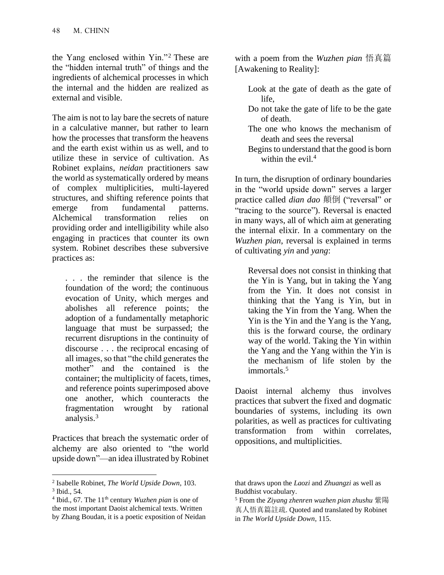the Yang enclosed within Yin."<sup>2</sup> These are the "hidden internal truth" of things and the ingredients of alchemical processes in which the internal and the hidden are realized as external and visible.

The aim is not to lay bare the secrets of nature in a calculative manner, but rather to learn how the processes that transform the heavens and the earth exist within us as well, and to utilize these in service of cultivation. As Robinet explains, *neidan* practitioners saw the world as systematically ordered by means of complex multiplicities, multi-layered structures, and shifting reference points that emerge from fundamental patterns. Alchemical transformation relies on providing order and intelligibility while also engaging in practices that counter its own system. Robinet describes these subversive practices as:

. . . the reminder that silence is the foundation of the word; the continuous evocation of Unity, which merges and abolishes all reference points; the adoption of a fundamentally metaphoric language that must be surpassed; the recurrent disruptions in the continuity of discourse . . . the reciprocal encasing of all images, so that "the child generates the mother" and the contained is the container; the multiplicity of facets, times, and reference points superimposed above one another, which counteracts the fragmentation wrought by rational analysis.<sup>3</sup>

Practices that breach the systematic order of alchemy are also oriented to "the world upside down"—an idea illustrated by Robinet

2 Isabelle Robinet, *The World Upside Down*, 103.

with a poem from the *Wuzhen pian* 悟真篇 [Awakening to Reality]:

- Look at the gate of death as the gate of life,
- Do not take the gate of life to be the gate of death.
- The one who knows the mechanism of death and sees the reversal
- Begins to understand that the good is born within the evil.<sup>4</sup>

In turn, the disruption of ordinary boundaries in the "world upside down" serves a larger practice called *dian dao* 顛倒 ("reversal" or "tracing to the source"). Reversal is enacted in many ways, all of which aim at generating the internal elixir. In a commentary on the *Wuzhen pian*, reversal is explained in terms of cultivating *yin* and *yang*:

Reversal does not consist in thinking that the Yin is Yang, but in taking the Yang from the Yin. It does not consist in thinking that the Yang is Yin, but in taking the Yin from the Yang. When the Yin is the Yin and the Yang is the Yang, this is the forward course, the ordinary way of the world. Taking the Yin within the Yang and the Yang within the Yin is the mechanism of life stolen by the immortals.<sup>5</sup>

Daoist internal alchemy thus involves practices that subvert the fixed and dogmatic boundaries of systems, including its own polarities, as well as practices for cultivating transformation from within correlates, oppositions, and multiplicities.

<sup>3</sup> Ibid., 54. <sup>4</sup> Ibid., 67. The 11<sup>th</sup> century *Wuzhen pian* is one of the most important Daoist alchemical texts. Written by Zhang Boudan, it is a poetic exposition of Neidan

that draws upon the *Laozi* and *Zhuangzi* as well as Buddhist vocabulary.

<sup>5</sup> From the *Ziyang zhenren wuzhen pian zhushu* 紫陽 真人悟真篇註疏. Quoted and translated by Robinet in *The World Upside Down*, 115.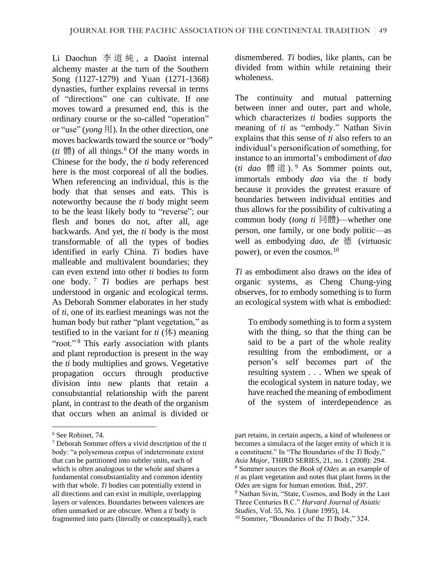Li Daochun 李道純 , a Daoist internal alchemy master at the turn of the Southern Song (1127-1279) and Yuan (1271-1368) dynasties, further explains reversal in terms of "directions" one can cultivate. If one moves toward a presumed end, this is the ordinary course or the so-called "operation" or "use" (*yong* 用). In the other direction, one moves backwards toward the source or "body"  $(ti \nleftrightarrow$  (*ti*) of all things.<sup>6</sup> Of the many words in Chinese for the body, the *ti* body referenced here is the most corporeal of all the bodies. When referencing an individual, this is the body that that senses and eats. This is noteworthy because the *ti* body might seem to be the least likely body to "reverse"; our flesh and bones do not, after all, age backwards. And yet, the *ti* body is the most transformable of all the types of bodies identified in early China. *Ti* bodies have malleable and multivalent boundaries; they can even extend into other *ti* bodies to form one body. <sup>7</sup> *Ti* bodies are perhaps best understood in organic and ecological terms. As Deborah Sommer elaborates in her study of *ti*, one of its earliest meanings was not the human body but rather "plant vegetation," as testified to in the variant for  $ti$  ( $\phi$ ) meaning "root."<sup>8</sup> This early association with plants and plant reproduction is present in the way the *ti* body multiplies and grows. Vegetative propagation occurs through productive division into new plants that retain a consubstantial relationship with the parent plant, in contrast to the death of the organism that occurs when an animal is divided or

dismembered. *Ti* bodies, like plants, can be divided from within while retaining their wholeness.

The continuity and mutual patterning between inner and outer, part and whole, which characterizes *ti* bodies supports the meaning of *ti* as "embody." Nathan Sivin explains that this sense of *ti* also refers to an individual's personification of something, for instance to an immortal's embodiment of *dao*  (*ti dao* 體 道 ). <sup>9</sup> As Sommer points out, immortals embody *dao* via the *ti* body because it provides the greatest erasure of boundaries between individual entities and thus allows for the possibility of cultivating a common body (*tong ti* 同體)—whether one person, one family, or one body politic—as well as embodying *dao*, *de* 德 (virtuosic power), or even the cosmos.<sup>10</sup>

*Ti* as embodiment also draws on the idea of organic systems, as Cheng Chung-ying observes, for to embody something is to form an ecological system with what is embodied:

To embody something is to form a system with the thing, so that the thing can be said to be a part of the whole reality resulting from the embodiment, or a person's self becomes part of the resulting system . . . When we speak of the ecological system in nature today, we have reached the meaning of embodiment of the system of interdependence as

<sup>6</sup> See Robinet, 74.

<sup>7</sup> Deborah Sommer offers a vivid description of the *ti*  body: "a polysemous corpus of indeterminate extent that can be partitioned into subtler units, each of which is often analogous to the whole and shares a fundamental consubstantiality and common identity with that whole. *Ti* bodies can potentially extend in all directions and can exist in multiple, overlapping layers or valences. Boundaries between valences are often unmarked or are obscure. When a *ti* body is fragmented into parts (literally or conceptually), each

part retains, in certain aspects, a kind of wholeness or becomes a simulacra of the larger entity of which it is a constituent." In "The Boundaries of the *Ti* Body," *Asia Major*, THIRD SERIES, 21, no. 1 (2008): 294. <sup>8</sup> Sommer sources the *Book of Odes* as an example of *ti* as plant vegetation and notes that plant forms in the *Odes* are signs for human emotion. Ibid., 297.

<sup>&</sup>lt;sup>9</sup> Nathan Sivin, "State, Cosmos, and Body in the Last Three Centuries B.C." *Harvard Journal of Asiatic* 

*Studies*, Vol. 55, No. 1 (June 1995), 14.

<sup>10</sup> Sommer, "Boundaries of the *Ti* Body," 324.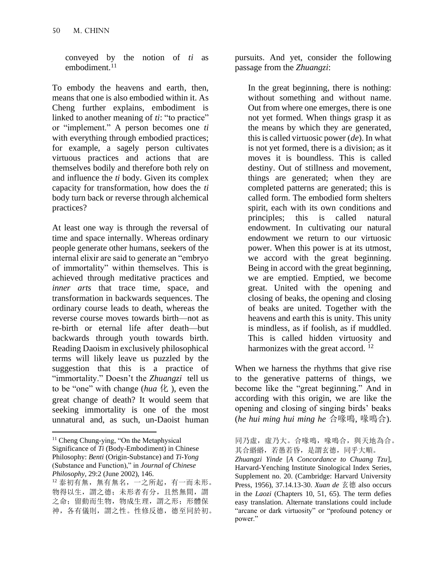conveyed by the notion of *ti* as embodiment.<sup>11</sup>

To embody the heavens and earth, then, means that one is also embodied within it. As Cheng further explains, embodiment is linked to another meaning of *ti*: "to practice" or "implement." A person becomes one *ti* with everything through embodied practices; for example, a sagely person cultivates virtuous practices and actions that are themselves bodily and therefore both rely on and influence the *ti* body. Given its complex capacity for transformation, how does the *ti*  body turn back or reverse through alchemical practices?

At least one way is through the reversal of time and space internally. Whereas ordinary people generate other humans, seekers of the internal elixir are said to generate an "embryo of immortality" within themselves. This is achieved through meditative practices and *inner arts* that trace time, space, and transformation in backwards sequences. The ordinary course leads to death, whereas the reverse course moves towards birth—not as re-birth or eternal life after death—but backwards through youth towards birth. Reading Daoism in exclusively philosophical terms will likely leave us puzzled by the suggestion that this is a practice of "immortality." Doesn't the *Zhuangzi* tell us to be "one" with change (*hua* 化 ), even the great change of death? It would seem that seeking immortality is one of the most unnatural and, as such, un-Daoist human

 $11$  Cheng Chung-ying, "On the Metaphysical Significance of *Ti* (Body-Embodiment) in Chinese Philosophy: *Benti* (Origin-Substance) and *Ti-Yong* (Substance and Function)," in *Journal of Chinese Philosophy*, 29:2 (June 2002), 146.

pursuits. And yet, consider the following passage from the *Zhuangzi*:

In the great beginning, there is nothing: without something and without name. Out from where one emerges, there is one not yet formed. When things grasp it as the means by which they are generated, this is called virtuosic power (*de*). In what is not yet formed, there is a division; as it moves it is boundless. This is called destiny. Out of stillness and movement, things are generated; when they are completed patterns are generated; this is called form. The embodied form shelters spirit, each with its own conditions and principles; this is called natural endowment. In cultivating our natural endowment we return to our virtuosic power. When this power is at its utmost, we accord with the great beginning. Being in accord with the great beginning, we are emptied. Emptied, we become great. United with the opening and closing of beaks, the opening and closing of beaks are united. Together with the heavens and earth this is unity. This unity is mindless, as if foolish, as if muddled. This is called hidden virtuosity and harmonizes with the great accord.<sup>12</sup>

When we harness the rhythms that give rise to the generative patterns of things, we become like the "great beginning." And in according with this origin, we are like the opening and closing of singing birds' beaks (*he hui ming hui ming he* 合喙鳴, 喙鳴合).

<sup>12</sup> 泰初有無, 無有無名, 一之所起, 有一而未形。 物得以生,謂之德;未形者有分,且然無間,謂 之命;留動而生物,物成生理,謂之形;形體保 神,各有儀則,謂之性。性修反德,德至同於初。

同乃虛,虛乃大。合喙鳴,喙鳴合,與天地為合。 其合緡緡,若愚若昏,是謂玄德,同乎大順。

*Zhuangzi Yinde* [*A Concordance to Chuang Tzu*], Harvard-Yenching Institute Sinological Index Series, Supplement no. 20. (Cambridge: Harvard University Press, 1956), 37.14.13-30. *Xuan de* 玄德 also occurs in the *Laozi* (Chapters 10, 51, 65). The term defies easy translation. Alternate translations could include "arcane or dark virtuosity" or "profound potency or power."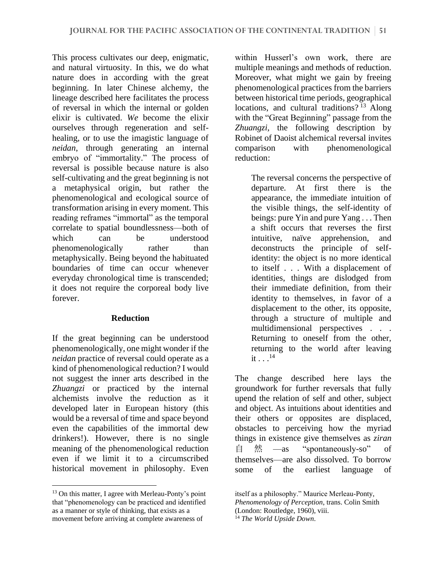This process cultivates our deep, enigmatic, and natural virtuosity. In this, we do what nature does in according with the great beginning. In later Chinese alchemy, the lineage described here facilitates the process of reversal in which the internal or golden elixir is cultivated. *We* become the elixir ourselves through regeneration and selfhealing, or to use the imagistic language of *neidan*, through generating an internal embryo of "immortality." The process of reversal is possible because nature is also self-cultivating and the great beginning is not a metaphysical origin, but rather the phenomenological and ecological source of transformation arising in every moment. This reading reframes "immortal" as the temporal correlate to spatial boundlessness—both of which can be understood phenomenologically rather than metaphysically. Being beyond the habituated boundaries of time can occur whenever everyday chronological time is transcended; it does not require the corporeal body live forever.

## **Reduction**

If the great beginning can be understood phenomenologically, one might wonder if the *neidan* practice of reversal could operate as a kind of phenomenological reduction? I would not suggest the inner arts described in the *Zhuangzi* or practiced by the internal alchemists involve the reduction as it developed later in European history (this would be a reversal of time and space beyond even the capabilities of the immortal dew drinkers!). However, there is no single meaning of the phenomenological reduction even if we limit it to a circumscribed historical movement in philosophy. Even

within Husserl's own work, there are multiple meanings and methods of reduction. Moreover, what might we gain by freeing phenomenological practices from the barriers between historical time periods, geographical locations, and cultural traditions?<sup>13</sup> Along with the "Great Beginning" passage from the *Zhuangzi*, the following description by Robinet of Daoist alchemical reversal invites comparison with phenomenological reduction:

The reversal concerns the perspective of departure. At first there is the appearance, the immediate intuition of the visible things, the self-identity of beings: pure Yin and pure Yang . . . Then a shift occurs that reverses the first intuitive, naïve apprehension, and deconstructs the principle of selfidentity: the object is no more identical to itself . . . With a displacement of identities, things are dislodged from their immediate definition, from their identity to themselves, in favor of a displacement to the other, its opposite, through a structure of multiple and multidimensional perspectives . . . Returning to oneself from the other, returning to the world after leaving it  $\ldots^{14}$ 

The change described here lays the groundwork for further reversals that fully upend the relation of self and other, subject and object. As intuitions about identities and their others or opposites are displaced, obstacles to perceiving how the myriad things in existence give themselves as *ziran* 自 然 —as "spontaneously-so" of themselves—are also dissolved. To borrow some of the earliest language of

<sup>&</sup>lt;sup>13</sup> On this matter, I agree with Merleau-Ponty's point that "phenomenology can be practiced and identified as a manner or style of thinking, that exists as a movement before arriving at complete awareness of

itself as a philosophy." Maurice Merleau-Ponty, *Phenomenology of Perception*, trans. Colin Smith (London: Routledge, 1960), viii.

<sup>14</sup> *The World Upside Down*.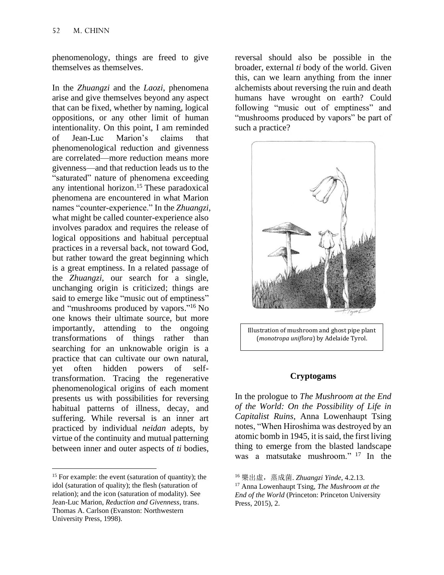phenomenology, things are freed to give themselves as themselves.

In the *Zhuangzi* and the *Laozi*, phenomena arise and give themselves beyond any aspect that can be fixed, whether by naming, logical oppositions, or any other limit of human intentionality. On this point, I am reminded of Jean-Luc Marion's claims that phenomenological reduction and givenness are correlated—more reduction means more givenness—and that reduction leads us to the "saturated" nature of phenomena exceeding any intentional horizon. <sup>15</sup> These paradoxical phenomena are encountered in what Marion names "counter-experience." In the *Zhuangzi*, what might be called counter-experience also involves paradox and requires the release of logical oppositions and habitual perceptual practices in a reversal back, not toward God, but rather toward the great beginning which is a great emptiness. In a related passage of the *Zhuangzi,* our search for a single, unchanging origin is criticized; things are said to emerge like "music out of emptiness" and "mushrooms produced by vapors." <sup>16</sup> No one knows their ultimate source, but more importantly, attending to the ongoing transformations of things rather than searching for an unknowable origin is a practice that can cultivate our own natural, yet often hidden powers of selftransformation. Tracing the regenerative phenomenological origins of each moment presents us with possibilities for reversing habitual patterns of illness, decay, and suffering. While reversal is an inner art practiced by individual *neidan* adepts, by virtue of the continuity and mutual patterning between inner and outer aspects of *ti* bodies,

reversal should also be possible in the broader, external *ti* body of the world. Given this, can we learn anything from the inner alchemists about reversing the ruin and death humans have wrought on earth? Could following "music out of emptiness" and "mushrooms produced by vapors" be part of such a practice?



Illustration of mushroom and ghost pipe plant (*monotropa uniflora*) by Adelaide Tyrol.

#### **Cryptogams**

In the prologue to *The Mushroom at the End of the World: On the Possibility of Life in Capitalist Ruins*, Anna Lowenhaupt Tsing notes, "When Hiroshima was destroyed by an atomic bomb in 1945, it is said, the first living thing to emerge from the blasted landscape was a matsutake mushroom." <sup>17</sup> In the

<sup>&</sup>lt;sup>15</sup> For example: the event (saturation of quantity); the idol (saturation of quality); the flesh (saturation of relation); and the icon (saturation of modality). See Jean-Luc Marion, *Reduction and Givenness*, trans. Thomas A. Carlson (Evanston: Northwestern University Press, 1998).

<sup>16</sup> 樂出虛,蒸成菌. *Zhuangzi Yinde*, 4.2.13.

<sup>17</sup> Anna Lowenhaupt Tsing, *The Mushroom at the End of the World* (Princeton: Princeton University Press, 2015), 2.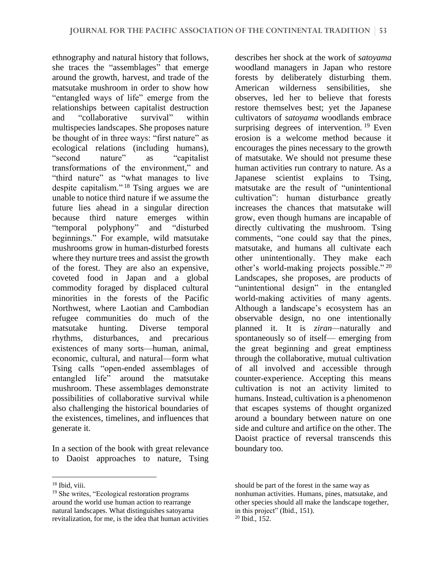ethnography and natural history that follows, she traces the "assemblages" that emerge around the growth, harvest, and trade of the matsutake mushroom in order to show how "entangled ways of life" emerge from the relationships between capitalist destruction and "collaborative survival" within multispecies landscapes. She proposes nature be thought of in three ways: "first nature" as ecological relations (including humans), "second nature" as "capitalist transformations of the environment," and "third nature" as "what manages to live despite capitalism." <sup>18</sup> Tsing argues we are unable to notice third nature if we assume the future lies ahead in a singular direction because third nature emerges within "temporal polyphony" and "disturbed beginnings." For example, wild matsutake mushrooms grow in human-disturbed forests where they nurture trees and assist the growth of the forest. They are also an expensive, coveted food in Japan and a global commodity foraged by displaced cultural minorities in the forests of the Pacific Northwest, where Laotian and Cambodian refugee communities do much of the matsutake hunting. Diverse temporal rhythms, disturbances, and precarious existences of many sorts—human, animal, economic, cultural, and natural—form what Tsing calls "open-ended assemblages of entangled life" around the matsutake mushroom. These assemblages demonstrate possibilities of collaborative survival while also challenging the historical boundaries of the existences, timelines, and influences that generate it.

In a section of the book with great relevance to Daoist approaches to nature, Tsing

<sup>18</sup> Ibid, viii.

describes her shock at the work of *satoyama*  woodland managers in Japan who restore forests by deliberately disturbing them. American wilderness sensibilities, she observes, led her to believe that forests restore themselves best; yet the Japanese cultivators of *satoyama* woodlands embrace surprising degrees of intervention.<sup>19</sup> Even erosion is a welcome method because it encourages the pines necessary to the growth of matsutake. We should not presume these human activities run contrary to nature. As a Japanese scientist explains to Tsing, matsutake are the result of "unintentional cultivation": human disturbance greatly increases the chances that matsutake will grow, even though humans are incapable of directly cultivating the mushroom. Tsing comments, "one could say that the pines, matsutake, and humans all cultivate each other unintentionally. They make each other's world-making projects possible." <sup>20</sup> Landscapes, she proposes, are products of "unintentional design" in the entangled world-making activities of many agents. Although a landscape's ecosystem has an observable design, no one intentionally planned it. It is *ziran—*naturally and spontaneously so of itself— emerging from the great beginning and great emptiness through the collaborative, mutual cultivation of all involved and accessible through counter-experience. Accepting this means cultivation is not an activity limited to humans. Instead, cultivation is a phenomenon that escapes systems of thought organized around a boundary between nature on one side and culture and artifice on the other. The Daoist practice of reversal transcends this boundary too.

<sup>19</sup> She writes, "Ecological restoration programs around the world use human action to rearrange natural landscapes. What distinguishes satoyama revitalization, for me, is the idea that human activities

should be part of the forest in the same way as nonhuman activities. Humans, pines, matsutake, and other species should all make the landscape together, in this project" (Ibid., 151). <sup>20</sup> Ibid., 152.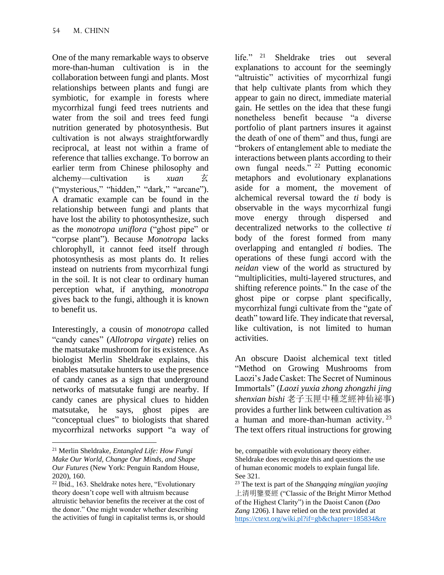One of the many remarkable ways to observe more-than-human cultivation is in the collaboration between fungi and plants. Most relationships between plants and fungi are symbiotic, for example in forests where mycorrhizal fungi feed trees nutrients and water from the soil and trees feed fungi nutrition generated by photosynthesis. But cultivation is not always straightforwardly reciprocal, at least not within a frame of reference that tallies exchange. To borrow an earlier term from Chinese philosophy and alchemy—cultivation is *xuan* 玄 ("mysterious," "hidden," "dark," "arcane"). A dramatic example can be found in the relationship between fungi and plants that have lost the ability to photosynthesize, such as the *monotropa uniflora* ("ghost pipe" or "corpse plant"). Because *Monotropa* lacks chlorophyll, it cannot feed itself through photosynthesis as most plants do. It relies instead on nutrients from mycorrhizal fungi in the soil. It is not clear to ordinary human perception what, if anything, *monotropa*  gives back to the fungi, although it is known to benefit us.

Interestingly, a cousin of *monotropa* called "candy canes" (*Allotropa virgate*) relies on the matsutake mushroom for its existence. As biologist Merlin Sheldrake explains, this enables matsutake hunters to use the presence of candy canes as a sign that underground networks of matsutake fungi are nearby. If candy canes are physical clues to hidden matsutake, he says, ghost pipes are "conceptual clues" to biologists that shared mycorrhizal networks support "a way of life." <sup>21</sup> Sheldrake tries out several explanations to account for the seemingly "altruistic" activities of mycorrhizal fungi that help cultivate plants from which they appear to gain no direct, immediate material gain. He settles on the idea that these fungi nonetheless benefit because "a diverse portfolio of plant partners insures it against the death of one of them" and thus, fungi are "brokers of entanglement able to mediate the interactions between plants according to their own fungal needs." <sup>22</sup> Putting economic metaphors and evolutionary explanations aside for a moment, the movement of alchemical reversal toward the *ti* body is observable in the ways mycorrhizal fungi move energy through dispersed and decentralized networks to the collective *ti*  body of the forest formed from many overlapping and entangled *ti* bodies. The operations of these fungi accord with the *neidan* view of the world as structured by "multiplicities, multi-layered structures, and shifting reference points." In the case of the ghost pipe or corpse plant specifically, mycorrhizal fungi cultivate from the "gate of death" toward life. They indicate that reversal, like cultivation, is not limited to human activities.

An obscure Daoist alchemical text titled "Method on Growing Mushrooms from Laozi's Jade Casket: The Secret of Numinous Immortals" (*Laozi yuxia zhong zhongzhi jing shenxian bishi* 老子玉匣中種芝經神仙祕事) provides a further link between cultivation as a human and more-than-human activity.<sup>23</sup> The text offers ritual instructions for growing

<sup>21</sup> Merlin Sheldrake, *Entangled Life: How Fungi Make Our World, Change Our Minds, and Shape Our Futures* (New York: Penguin Random House, 2020), 160.

<sup>22</sup> Ibid., 163. Sheldrake notes here, "Evolutionary theory doesn't cope well with altruism because altruistic behavior benefits the receiver at the cost of the donor." One might wonder whether describing the activities of fungi in capitalist terms is, or should

be, compatible with evolutionary theory either. Sheldrake does recognize this and questions the use of human economic models to explain fungal life. See 321.

<sup>23</sup> The text is part of the *Shangqing mingjian yaojing* 上清明鑒要經 ("Classic of the Bright Mirror Method of the Highest Clarity") in the Daoist Canon (*Dao Zang* 1206). I have relied on the text provided at [https://ctext.org/wiki.pl?if=gb&chapter=185834&re](https://ctext.org/wiki.pl?if=gb&chapter=185834&remap=gb)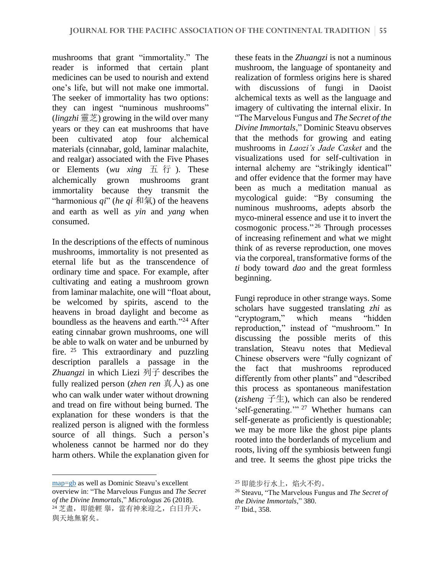mushrooms that grant "immortality." The reader is informed that certain plant medicines can be used to nourish and extend one's life, but will not make one immortal. The seeker of immortality has two options: they can ingest "numinous mushrooms" *(lingzhi*  $\mathbb{R} \not\equiv$ ) growing in the wild over many years or they can eat mushrooms that have been cultivated atop four alchemical materials (cinnabar, gold, laminar malachite, and realgar) associated with the Five Phases or Elements (*wu xing* 五 行 ). These alchemically grown mushrooms grant immortality because they transmit the "harmonious *qi*" (*he qi* 和氣) of the heavens and earth as well as *yin* and *yang* when consumed.

In the descriptions of the effects of numinous mushrooms, immortality is not presented as eternal life but as the transcendence of ordinary time and space. For example, after cultivating and eating a mushroom grown from laminar malachite, one will "float about, be welcomed by spirits, ascend to the heavens in broad daylight and become as boundless as the heavens and earth." <sup>24</sup> After eating cinnabar grown mushrooms, one will be able to walk on water and be unburned by fire. <sup>25</sup> This extraordinary and puzzling description parallels a passage in the *Zhuangzi* in which Liezi 列子 describes the fully realized person (*zhen ren* 真人) as one who can walk under water without drowning and tread on fire without being burned. The explanation for these wonders is that the realized person is aligned with the formless source of all things. Such a person's wholeness cannot be harmed nor do they harm others. While the explanation given for

these feats in the *Zhuangzi* is not a numinous mushroom, the language of spontaneity and realization of formless origins here is shared with discussions of fungi in Daoist alchemical texts as well as the language and imagery of cultivating the internal elixir. In "The Marvelous Fungus and *The Secret of the Divine Immortals*," Dominic Steavu observes that the methods for growing and eating mushrooms in *Laozi's Jade Casket* and the visualizations used for self-cultivation in internal alchemy are "strikingly identical" and offer evidence that the former may have been as much a meditation manual as mycological guide: "By consuming the numinous mushrooms, adepts absorb the myco-mineral essence and use it to invert the cosmogonic process." <sup>26</sup> Through processes of increasing refinement and what we might think of as reverse reproduction, one moves via the corporeal, transformative forms of the *ti* body toward *dao* and the great formless beginning.

Fungi reproduce in other strange ways. Some scholars have suggested translating *zhi* as "cryptogram," which means "hidden reproduction," instead of "mushroom." In discussing the possible merits of this translation, Steavu notes that Medieval Chinese observers were "fully cognizant of the fact that mushrooms reproduced differently from other plants" and "described this process as spontaneous manifestation (*zisheng* 子生), which can also be rendered 'self-generating."<sup>27</sup> Whether humans can self-generate as proficiently is questionable; we may be more like the ghost pipe plants rooted into the borderlands of mycelium and roots, living off the symbiosis between fungi and tree. It seems the ghost pipe tricks the

[map=gb](https://ctext.org/wiki.pl?if=gb&chapter=185834&remap=gb) as well as Dominic Steavu's excellent overview in: "The Marvelous Fungus and *The Secret of the Divine Immortals*," *Micrologus* 26 (2018). 24 芝盡, 即能輕 舉, 當有神来迎之, 白日升天, 與天地無窮矣。

<sup>25</sup> 即能步行水上,焰火不灼。

<sup>26</sup> Steavu, "The Marvelous Fungus and *The Secret of the Divine Immortals*," 380.

<sup>27</sup> Ibid., 358.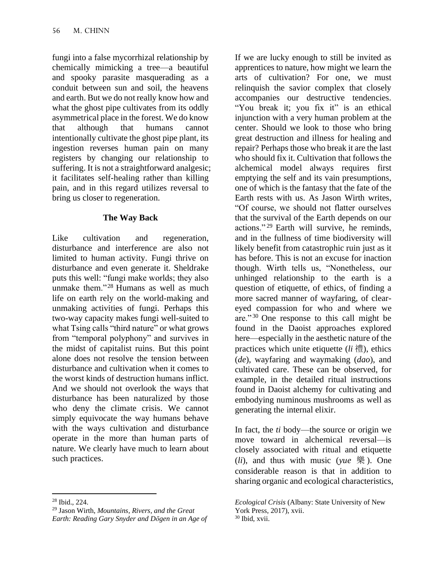fungi into a false mycorrhizal relationship by chemically mimicking a tree—a beautiful and spooky parasite masquerading as a conduit between sun and soil, the heavens and earth. But we do not really know how and what the ghost pipe cultivates from its oddly asymmetrical place in the forest. We do know that although that humans cannot intentionally cultivate the ghost pipe plant, its ingestion reverses human pain on many registers by changing our relationship to suffering. It is not a straightforward analgesic; it facilitates self-healing rather than killing pain, and in this regard utilizes reversal to bring us closer to regeneration.

# **The Way Back**

Like cultivation and regeneration, disturbance and interference are also not limited to human activity. Fungi thrive on disturbance and even generate it. Sheldrake puts this well: "fungi make worlds; they also unmake them."<sup>28</sup> Humans as well as much life on earth rely on the world-making and unmaking activities of fungi. Perhaps this two-way capacity makes fungi well-suited to what Tsing calls "third nature" or what grows from "temporal polyphony" and survives in the midst of capitalist ruins. But this point alone does not resolve the tension between disturbance and cultivation when it comes to the worst kinds of destruction humans inflict. And we should not overlook the ways that disturbance has been naturalized by those who deny the climate crisis. We cannot simply equivocate the way humans behave with the ways cultivation and disturbance operate in the more than human parts of nature. We clearly have much to learn about such practices.

If we are lucky enough to still be invited as apprentices to nature, how might we learn the arts of cultivation? For one, we must relinquish the savior complex that closely accompanies our destructive tendencies. "You break it; you fix it" is an ethical injunction with a very human problem at the center. Should we look to those who bring great destruction and illness for healing and repair? Perhaps those who break it are the last who should fix it. Cultivation that follows the alchemical model always requires first emptying the self and its vain presumptions, one of which is the fantasy that the fate of the Earth rests with us. As Jason Wirth writes, "Of course, we should not flatter ourselves that the survival of the Earth depends on our actions." <sup>29</sup> Earth will survive, he reminds, and in the fullness of time biodiversity will likely benefit from catastrophic ruin just as it has before. This is not an excuse for inaction though. Wirth tells us, "Nonetheless, our unhinged relationship to the earth is a question of etiquette, of ethics, of finding a more sacred manner of wayfaring, of cleareyed compassion for who and where we are." <sup>30</sup> One response to this call might be found in the Daoist approaches explored here—especially in the aesthetic nature of the practices which unite etiquette (*li* 禮), ethics (*de*), wayfaring and waymaking (*dao*), and cultivated care. These can be observed, for example, in the detailed ritual instructions found in Daoist alchemy for cultivating and embodying numinous mushrooms as well as generating the internal elixir.

In fact, the *ti* body—the source or origin we move toward in alchemical reversal—is closely associated with ritual and etiquette (*li*), and thus with music (*yue* 樂 ). One considerable reason is that in addition to sharing organic and ecological characteristics,

<sup>28</sup> Ibid., 224.

<sup>29</sup> Jason Wirth, *Mountains, Rivers, and the Great Earth: Reading Gary Snyder and Dōgen in an Age of* 

*Ecological Crisis* (Albany: State University of New York Press, 2017), xvii.  $30$  Ibid, xvii.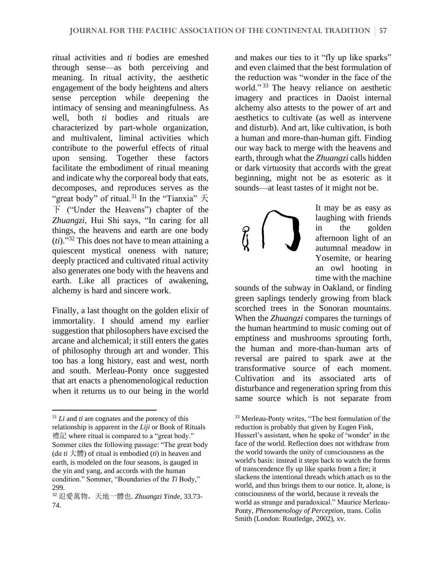ritual activities and *ti* bodies are emeshed through sense—as both perceiving and meaning. In ritual activity, the aesthetic engagement of the body heightens and alters sense perception while deepening the intimacy of sensing and meaningfulness. As well, both *ti* bodies and rituals are characterized by part-whole organization, and multivalent, liminal activities which contribute to the powerful effects of ritual upon sensing. Together these factors facilitate the embodiment of ritual meaning and indicate why the corporeal body that eats, decomposes, and reproduces serves as the "great body" of ritual.<sup>31</sup> In the "Tianxia" 天 下 ("Under the Heavens") chapter of the *Zhuangzi*, Hui Shi says, "In caring for all things, the heavens and earth are one body (*ti*)." <sup>32</sup> This does not have to mean attaining a quiescent mystical oneness with nature; deeply practiced and cultivated ritual activity also generates one body with the heavens and earth. Like all practices of awakening, alchemy is hard and sincere work.

Finally, a last thought on the golden elixir of immortality. I should amend my earlier suggestion that philosophers have excised the arcane and alchemical; it still enters the gates of philosophy through art and wonder. This too has a long history, east and west, north and south. Merleau-Ponty once suggested that art enacts a phenomenological reduction when it returns us to our being in the world and makes our ties to it "fly up like sparks" and even claimed that the best formulation of the reduction was "wonder in the face of the world."<sup>33</sup> The heavy reliance on aesthetic imagery and practices in Daoist internal alchemy also attests to the power of art and aesthetics to cultivate (as well as intervene and disturb). And art, like cultivation, is both a human and more-than-human gift. Finding our way back to merge with the heavens and earth, through what the *Zhuangzi* calls hidden or dark virtuosity that accords with the great beginning, might not be as esoteric as it sounds—at least tastes of it might not be.

It may be as easy as laughing with friends in the golden afternoon light of an autumnal meadow in Yosemite, or hearing an owl hooting in time with the machine

sounds of the subway in Oakland, or finding green saplings tenderly growing from black scorched trees in the Sonoran mountains. When the *Zhuangzi* compares the turnings of the human heartmind to music coming out of emptiness and mushrooms sprouting forth, the human and more-than-human arts of reversal are paired to spark awe at the transformative source of each moment. Cultivation and its associated arts of disturbance and regeneration spring from this same source which is not separate from

 $31$  *Li* and *ti* are cognates and the potency of this relationship is apparent in the *Liji* or Book of Rituals 禮記 where ritual is compared to a "great body." Sommer cites the following passage: "The great body (*da ti* 大體) of ritual is embodied (*ti*) in heaven and earth, is modeled on the four seasons, is gauged in the yin and yang, and accords with the human condition." Sommer, "Boundaries of the *Ti* Body," 299.

<sup>32</sup> 氾愛萬物,天地一體也. *Zhuangzi Yinde*, 33.73- 74.

<sup>33</sup> Merleau-Ponty writes, "The best formulation of the reduction is probably that given by Eugen Fink, Husserl's assistant, when he spoke of 'wonder' in the face of the world. Reflection does not withdraw from the world towards the unity of consciousness as the world's basis: instead it steps back to watch the forms of transcendence fly up like sparks from a fire; it slackens the intentional threads which attach us to the world, and thus brings them to our notice. It, alone, is consciousness of the world, because it reveals the world as strange and paradoxical." Maurice Merleau-Ponty, *Phenomenology of Perception*, trans. Colin Smith (London: Routledge, 2002), xv.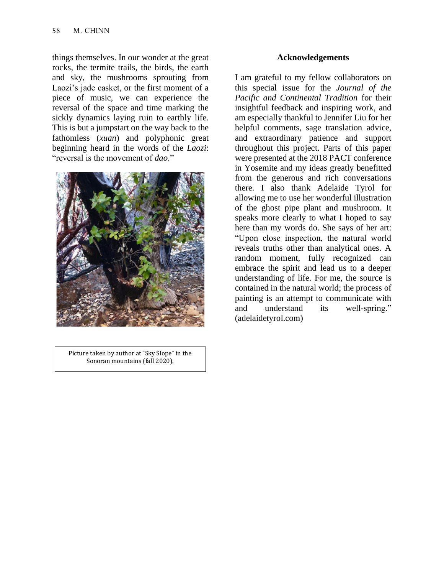things themselves. In our wonder at the great rocks, the termite trails, the birds, the earth and sky, the mushrooms sprouting from Laozi's jade casket, or the first moment of a piece of music, we can experience the reversal of the space and time marking the sickly dynamics laying ruin to earthly life. This is but a jumpstart on the way back to the fathomless (*xuan*) and polyphonic great beginning heard in the words of the *Laozi*: "reversal is the movement of *dao*."



Picture taken by author at "Sky Slope" in the Sonoran mountains (fall 2020).

## **Acknowledgements**

I am grateful to my fellow collaborators on this special issue for the *Journal of the Pacific and Continental Tradition* for their insightful feedback and inspiring work, and am especially thankful to Jennifer Liu for her helpful comments, sage translation advice, and extraordinary patience and support throughout this project. Parts of this paper were presented at the 2018 PACT conference in Yosemite and my ideas greatly benefitted from the generous and rich conversations there. I also thank Adelaide Tyrol for allowing me to use her wonderful illustration of the ghost pipe plant and mushroom. It speaks more clearly to what I hoped to say here than my words do. She says of her art: "Upon close inspection, the natural world reveals truths other than analytical ones. A random moment, fully recognized can embrace the spirit and lead us to a deeper understanding of life. For me, the source is contained in the natural world; the process of painting is an attempt to communicate with and understand its well-spring." (adelaidetyrol.com)